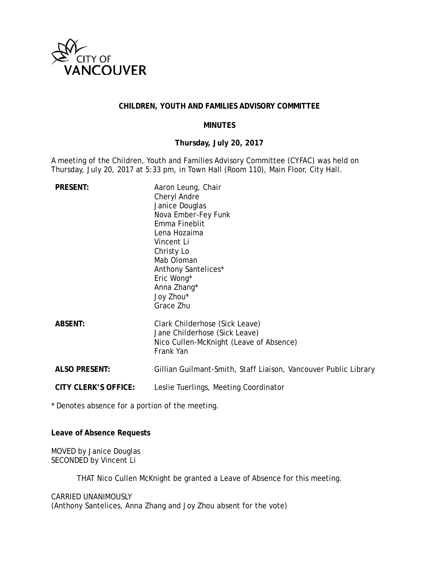

### **CHILDREN, YOUTH AND FAMILIES ADVISORY COMMITTEE**

#### **MINUTES**

# **Thursday, July 20, 2017**

A meeting of the Children, Youth and Families Advisory Committee (CYFAC) was held on Thursday, July 20, 2017 at 5:33 pm, in Town Hall (Room 110), Main Floor, City Hall.

| <b>PRESENT:</b>             | Aaron Leung, Chair<br>Cheryl Andre<br>Janice Douglas<br>Nova Ember-Fey Funk<br>Emma Fineblit<br>Lena Hozaima<br>Vincent Li<br>Christy Lo<br>Mab Oloman<br>Anthony Santelices*<br>Eric Wong*<br>Anna Zhang*<br>Joy Zhou*<br>Grace Zhu |
|-----------------------------|--------------------------------------------------------------------------------------------------------------------------------------------------------------------------------------------------------------------------------------|
| <b>ABSENT:</b>              | Clark Childerhose (Sick Leave)<br>Jane Childerhose (Sick Leave)<br>Nico Cullen-McKnight (Leave of Absence)<br>Frank Yan                                                                                                              |
| <b>ALSO PRESENT:</b>        | Gillian Guilmant-Smith, Staff Liaison, Vancouver Public Library                                                                                                                                                                      |
| <b>CITY CLERK'S OFFICE:</b> | Leslie Tuerlings, Meeting Coordinator                                                                                                                                                                                                |
|                             |                                                                                                                                                                                                                                      |

\* Denotes absence for a portion of the meeting.

**Leave of Absence Requests**

MOVED by Janice Douglas SECONDED by Vincent Li

THAT Nico Cullen McKnight be granted a Leave of Absence for this meeting.

#### CARRIED UNANIMOUSLY

(Anthony Santelices, Anna Zhang and Joy Zhou absent for the vote)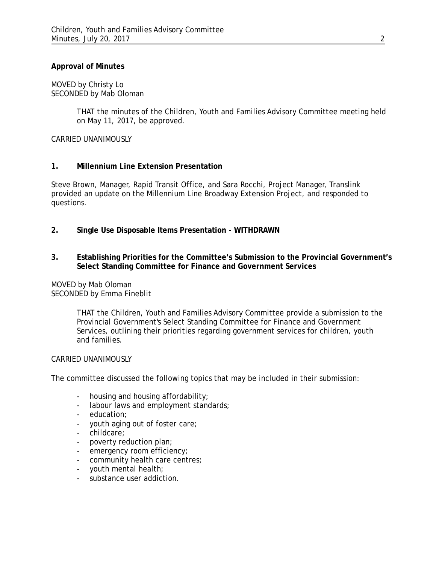## **Approval of Minutes**

MOVED by Christy Lo SECONDED by Mab Oloman

> THAT the minutes of the Children, Youth and Families Advisory Committee meeting held on May 11, 2017, be approved.

CARRIED UNANIMOUSLY

### **1. Millennium Line Extension Presentation**

Steve Brown, Manager, Rapid Transit Office, and Sara Rocchi, Project Manager, Translink provided an update on the Millennium Line Broadway Extension Project, and responded to questions.

- **2. Single Use Disposable Items Presentation - WITHDRAWN**
- **3. Establishing Priorities for the Committee's Submission to the Provincial Government's Select Standing Committee for Finance and Government Services**

MOVED by Mab Oloman SECONDED by Emma Fineblit

> THAT the Children, Youth and Families Advisory Committee provide a submission to the Provincial Government's Select Standing Committee for Finance and Government Services, outlining their priorities regarding government services for children, youth and families.

#### CARRIED UNANIMOUSLY

The committee discussed the following topics that may be included in their submission:

- housing and housing affordability;
- labour laws and employment standards;
- education;
- youth aging out of foster care;
- childcare;
- poverty reduction plan;
- emergency room efficiency;
- community health care centres;
- youth mental health;
- substance user addiction.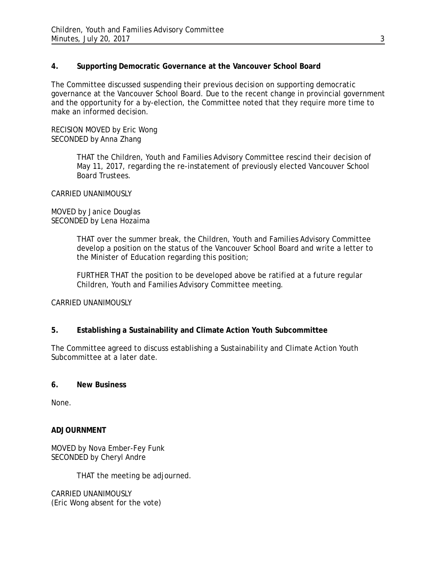## **4. Supporting Democratic Governance at the Vancouver School Board**

The Committee discussed suspending their previous decision on supporting democratic governance at the Vancouver School Board. Due to the recent change in provincial government and the opportunity for a by-election, the Committee noted that they require more time to make an informed decision.

RECISION MOVED by Eric Wong SECONDED by Anna Zhang

> THAT the Children, Youth and Families Advisory Committee rescind their decision of May 11, 2017, regarding the re-instatement of previously elected Vancouver School Board Trustees.

CARRIED UNANIMOUSLY

MOVED by Janice Douglas SECONDED by Lena Hozaima

> THAT over the summer break, the Children, Youth and Families Advisory Committee develop a position on the status of the Vancouver School Board and write a letter to the Minister of Education regarding this position;

FURTHER THAT the position to be developed above be ratified at a future regular Children, Youth and Families Advisory Committee meeting.

CARRIED UNANIMOUSLY

## **5. Establishing a Sustainability and Climate Action Youth Subcommittee**

The Committee agreed to discuss establishing a Sustainability and Climate Action Youth Subcommittee at a later date.

## **6. New Business**

None.

## **ADJOURNMENT**

MOVED by Nova Ember-Fey Funk SECONDED by Cheryl Andre

THAT the meeting be adjourned.

CARRIED UNANIMOUSLY (Eric Wong absent for the vote)